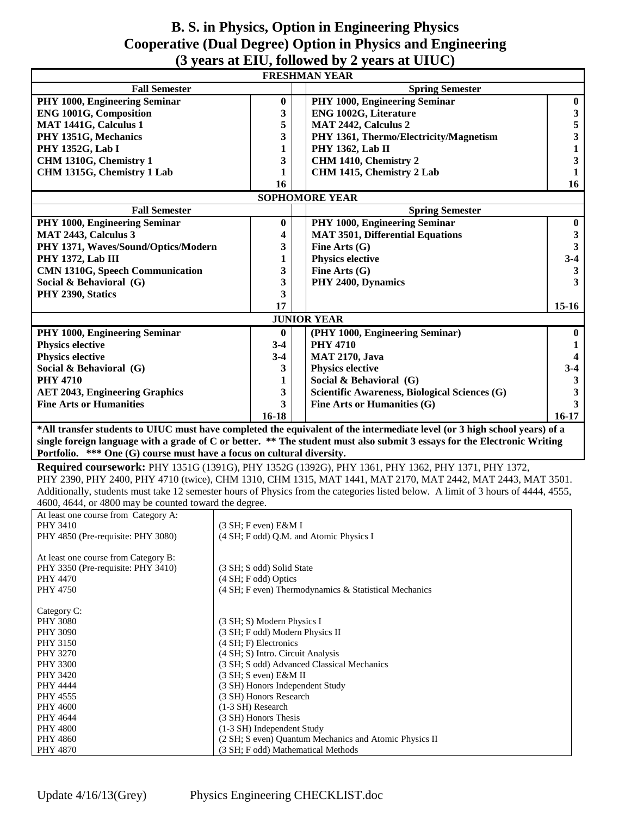#### **B. S. in Physics, Option in Engineering Physics Cooperative (Dual Degree) Option in Physics and Engineering (3 years at EIU, followed by 2 years at UIUC)**

| <b>Fall Semester</b><br><b>Spring Semester</b><br>PHY 1000, Engineering Seminar<br>PHY 1000, Engineering Seminar<br>$\boldsymbol{0}$<br>$\bf{0}$<br>$\frac{3}{5}$<br><b>ENG 1001G, Composition</b><br>3<br>ENG 1002G, Literature<br>5<br>MAT 1441G, Calculus 1<br>MAT 2442, Calculus 2<br>3<br>PHY 1351G, Mechanics<br>PHY 1361, Thermo/Electricity/Magnetism<br>$\mathbf{1}$<br><b>PHY 1352G, Lab I</b><br>1<br><b>PHY 1362, Lab II</b><br>$\overline{\mathbf{3}}$<br>CHM 1310G, Chemistry 1<br>3<br>CHM 1410, Chemistry 2<br>CHM 1315G, Chemistry 1 Lab<br>CHM 1415, Chemistry 2 Lab<br>$\mathbf{1}$<br>1<br>16<br>16<br><b>SOPHOMORE YEAR</b><br><b>Fall Semester</b><br><b>Spring Semester</b><br>PHY 1000, Engineering Seminar<br>PHY 1000, Engineering Seminar<br>$\bf{0}$<br>$\bf{0}$<br>MAT 2443, Calculus 3<br><b>MAT 3501, Differential Equations</b><br>4<br>$\mathbf{3}$<br>Fine Arts (G)<br>$\mathbf{3}$<br>PHY 1371, Waves/Sound/Optics/Modern<br>3<br>$3-4$<br>PHY 1372, Lab III<br><b>Physics elective</b><br>1<br>3<br>Fine Arts $(G)$<br><b>CMN 1310G, Speech Communication</b><br>3<br>3<br>PHY 2400, Dynamics<br>Social & Behavioral (G)<br>3<br>3<br>PHY 2390, Statics<br>17<br>$15-16$<br><b>JUNIOR YEAR</b><br>PHY 1000, Engineering Seminar<br>(PHY 1000, Engineering Seminar)<br>$\bf{0}$<br>$\bf{0}$<br><b>PHY 4710</b><br><b>Physics elective</b><br>$3-4$<br>1<br><b>Physics elective</b><br>$3-4$<br><b>MAT 2170, Java</b><br>$\boldsymbol{4}$<br><b>Physics elective</b><br>$3 - 4$<br>Social & Behavioral (G)<br>3<br>Social & Behavioral (G)<br><b>PHY 4710</b><br>$\mathbf{3}$<br>1<br>3<br>Scientific Awareness, Biological Sciences (G)<br><b>AET 2043, Engineering Graphics</b><br>3<br>$\overline{\mathbf{3}}$<br><b>Fine Arts or Humanities</b><br>3<br>Fine Arts or Humanities (G)<br>$16 - 18$<br>$16-17$<br>*All transfer students to UIUC must have completed the equivalent of the intermediate level (or 3 high school years) of a<br>single foreign language with a grade of C or better. ** The student must also submit 3 essays for the Electronic Writing<br>Portfolio. *** One (G) course must have a focus on cultural diversity.<br>Required coursework: PHY 1351G (1391G), PHY 1352G (1392G), PHY 1361, PHY 1362, PHY 1371, PHY 1372,<br>PHY 2390, PHY 2400, PHY 4710 (twice), CHM 1310, CHM 1315, MAT 1441, MAT 2170, MAT 2442, MAT 2443, MAT 3501.<br>Additionally, students must take 12 semester hours of Physics from the categories listed below. A limit of 3 hours of 4444, 4555,<br>4600, 4644, or 4800 may be counted toward the degree.<br>At least one course from Category A:<br>PHY 3410<br>(3 SH; F even) E&M I<br>PHY 4850 (Pre-requisite: PHY 3080)<br>(4 SH; F odd) Q.M. and Atomic Physics I<br>At least one course from Category B:<br>PHY 3350 (Pre-requisite: PHY 3410)<br>(3 SH; S odd) Solid State<br>PHY 4470<br>(4 SH; F odd) Optics<br>(4 SH; F even) Thermodynamics & Statistical Mechanics<br>PHY 4750<br>Category C:<br>(3 SH; S) Modern Physics I<br><b>PHY 3080</b><br>(3 SH; F odd) Modern Physics II<br><b>PHY 3090</b><br>(4 SH; F) Electronics<br>PHY 3150<br>(4 SH; S) Intro. Circuit Analysis<br><b>PHY 3270</b><br>(3 SH; S odd) Advanced Classical Mechanics<br><b>PHY 3300</b><br>(3 SH; S even) E&M II<br>PHY 3420<br>(3 SH) Honors Independent Study<br>PHY 4444<br>(3 SH) Honors Research<br>PHY 4555<br>(1-3 SH) Research<br><b>PHY 4600</b><br>(3 SH) Honors Thesis<br>PHY 4644<br>(1-3 SH) Independent Study<br><b>PHY 4800</b><br>(2 SH; S even) Quantum Mechanics and Atomic Physics II<br><b>PHY 4860</b><br>(3 SH; F odd) Mathematical Methods<br><b>PHY 4870</b> | <b>FRESHMAN YEAR</b> |  |  |  |  |  |
|---------------------------------------------------------------------------------------------------------------------------------------------------------------------------------------------------------------------------------------------------------------------------------------------------------------------------------------------------------------------------------------------------------------------------------------------------------------------------------------------------------------------------------------------------------------------------------------------------------------------------------------------------------------------------------------------------------------------------------------------------------------------------------------------------------------------------------------------------------------------------------------------------------------------------------------------------------------------------------------------------------------------------------------------------------------------------------------------------------------------------------------------------------------------------------------------------------------------------------------------------------------------------------------------------------------------------------------------------------------------------------------------------------------------------------------------------------------------------------------------------------------------------------------------------------------------------------------------------------------------------------------------------------------------------------------------------------------------------------------------------------------------------------------------------------------------------------------------------------------------------------------------------------------------------------------------------------------------------------------------------------------------------------------------------------------------------------------------------------------------------------------------------------------------------------------------------------------------------------------------------------------------------------------------------------------------------------------------------------------------------------------------------------------------------------------------------------------------------------------------------------------------------------------------------------------------------------------------------------------------------------------------------------------------------------------------------------------------------------------------------------------------------------------------------------------------------------------------------------------------------------------------------------------------------------------------------------------------------------------------------------------------------------------------------------------------------------------------------------------------------------------------------------------------------------------------------------------------------------------------------------------------------------------------------------------------------------------------------------------------------------------------------------------------------------------------------------------------------------------------------------------------------------------------------------------------------------------------------------------------------------------------------------------------------|----------------------|--|--|--|--|--|
|                                                                                                                                                                                                                                                                                                                                                                                                                                                                                                                                                                                                                                                                                                                                                                                                                                                                                                                                                                                                                                                                                                                                                                                                                                                                                                                                                                                                                                                                                                                                                                                                                                                                                                                                                                                                                                                                                                                                                                                                                                                                                                                                                                                                                                                                                                                                                                                                                                                                                                                                                                                                                                                                                                                                                                                                                                                                                                                                                                                                                                                                                                                                                                                                                                                                                                                                                                                                                                                                                                                                                                                                                                                                           |                      |  |  |  |  |  |
|                                                                                                                                                                                                                                                                                                                                                                                                                                                                                                                                                                                                                                                                                                                                                                                                                                                                                                                                                                                                                                                                                                                                                                                                                                                                                                                                                                                                                                                                                                                                                                                                                                                                                                                                                                                                                                                                                                                                                                                                                                                                                                                                                                                                                                                                                                                                                                                                                                                                                                                                                                                                                                                                                                                                                                                                                                                                                                                                                                                                                                                                                                                                                                                                                                                                                                                                                                                                                                                                                                                                                                                                                                                                           |                      |  |  |  |  |  |
|                                                                                                                                                                                                                                                                                                                                                                                                                                                                                                                                                                                                                                                                                                                                                                                                                                                                                                                                                                                                                                                                                                                                                                                                                                                                                                                                                                                                                                                                                                                                                                                                                                                                                                                                                                                                                                                                                                                                                                                                                                                                                                                                                                                                                                                                                                                                                                                                                                                                                                                                                                                                                                                                                                                                                                                                                                                                                                                                                                                                                                                                                                                                                                                                                                                                                                                                                                                                                                                                                                                                                                                                                                                                           |                      |  |  |  |  |  |
|                                                                                                                                                                                                                                                                                                                                                                                                                                                                                                                                                                                                                                                                                                                                                                                                                                                                                                                                                                                                                                                                                                                                                                                                                                                                                                                                                                                                                                                                                                                                                                                                                                                                                                                                                                                                                                                                                                                                                                                                                                                                                                                                                                                                                                                                                                                                                                                                                                                                                                                                                                                                                                                                                                                                                                                                                                                                                                                                                                                                                                                                                                                                                                                                                                                                                                                                                                                                                                                                                                                                                                                                                                                                           |                      |  |  |  |  |  |
|                                                                                                                                                                                                                                                                                                                                                                                                                                                                                                                                                                                                                                                                                                                                                                                                                                                                                                                                                                                                                                                                                                                                                                                                                                                                                                                                                                                                                                                                                                                                                                                                                                                                                                                                                                                                                                                                                                                                                                                                                                                                                                                                                                                                                                                                                                                                                                                                                                                                                                                                                                                                                                                                                                                                                                                                                                                                                                                                                                                                                                                                                                                                                                                                                                                                                                                                                                                                                                                                                                                                                                                                                                                                           |                      |  |  |  |  |  |
|                                                                                                                                                                                                                                                                                                                                                                                                                                                                                                                                                                                                                                                                                                                                                                                                                                                                                                                                                                                                                                                                                                                                                                                                                                                                                                                                                                                                                                                                                                                                                                                                                                                                                                                                                                                                                                                                                                                                                                                                                                                                                                                                                                                                                                                                                                                                                                                                                                                                                                                                                                                                                                                                                                                                                                                                                                                                                                                                                                                                                                                                                                                                                                                                                                                                                                                                                                                                                                                                                                                                                                                                                                                                           |                      |  |  |  |  |  |
|                                                                                                                                                                                                                                                                                                                                                                                                                                                                                                                                                                                                                                                                                                                                                                                                                                                                                                                                                                                                                                                                                                                                                                                                                                                                                                                                                                                                                                                                                                                                                                                                                                                                                                                                                                                                                                                                                                                                                                                                                                                                                                                                                                                                                                                                                                                                                                                                                                                                                                                                                                                                                                                                                                                                                                                                                                                                                                                                                                                                                                                                                                                                                                                                                                                                                                                                                                                                                                                                                                                                                                                                                                                                           |                      |  |  |  |  |  |
|                                                                                                                                                                                                                                                                                                                                                                                                                                                                                                                                                                                                                                                                                                                                                                                                                                                                                                                                                                                                                                                                                                                                                                                                                                                                                                                                                                                                                                                                                                                                                                                                                                                                                                                                                                                                                                                                                                                                                                                                                                                                                                                                                                                                                                                                                                                                                                                                                                                                                                                                                                                                                                                                                                                                                                                                                                                                                                                                                                                                                                                                                                                                                                                                                                                                                                                                                                                                                                                                                                                                                                                                                                                                           |                      |  |  |  |  |  |
|                                                                                                                                                                                                                                                                                                                                                                                                                                                                                                                                                                                                                                                                                                                                                                                                                                                                                                                                                                                                                                                                                                                                                                                                                                                                                                                                                                                                                                                                                                                                                                                                                                                                                                                                                                                                                                                                                                                                                                                                                                                                                                                                                                                                                                                                                                                                                                                                                                                                                                                                                                                                                                                                                                                                                                                                                                                                                                                                                                                                                                                                                                                                                                                                                                                                                                                                                                                                                                                                                                                                                                                                                                                                           |                      |  |  |  |  |  |
|                                                                                                                                                                                                                                                                                                                                                                                                                                                                                                                                                                                                                                                                                                                                                                                                                                                                                                                                                                                                                                                                                                                                                                                                                                                                                                                                                                                                                                                                                                                                                                                                                                                                                                                                                                                                                                                                                                                                                                                                                                                                                                                                                                                                                                                                                                                                                                                                                                                                                                                                                                                                                                                                                                                                                                                                                                                                                                                                                                                                                                                                                                                                                                                                                                                                                                                                                                                                                                                                                                                                                                                                                                                                           |                      |  |  |  |  |  |
|                                                                                                                                                                                                                                                                                                                                                                                                                                                                                                                                                                                                                                                                                                                                                                                                                                                                                                                                                                                                                                                                                                                                                                                                                                                                                                                                                                                                                                                                                                                                                                                                                                                                                                                                                                                                                                                                                                                                                                                                                                                                                                                                                                                                                                                                                                                                                                                                                                                                                                                                                                                                                                                                                                                                                                                                                                                                                                                                                                                                                                                                                                                                                                                                                                                                                                                                                                                                                                                                                                                                                                                                                                                                           |                      |  |  |  |  |  |
|                                                                                                                                                                                                                                                                                                                                                                                                                                                                                                                                                                                                                                                                                                                                                                                                                                                                                                                                                                                                                                                                                                                                                                                                                                                                                                                                                                                                                                                                                                                                                                                                                                                                                                                                                                                                                                                                                                                                                                                                                                                                                                                                                                                                                                                                                                                                                                                                                                                                                                                                                                                                                                                                                                                                                                                                                                                                                                                                                                                                                                                                                                                                                                                                                                                                                                                                                                                                                                                                                                                                                                                                                                                                           |                      |  |  |  |  |  |
|                                                                                                                                                                                                                                                                                                                                                                                                                                                                                                                                                                                                                                                                                                                                                                                                                                                                                                                                                                                                                                                                                                                                                                                                                                                                                                                                                                                                                                                                                                                                                                                                                                                                                                                                                                                                                                                                                                                                                                                                                                                                                                                                                                                                                                                                                                                                                                                                                                                                                                                                                                                                                                                                                                                                                                                                                                                                                                                                                                                                                                                                                                                                                                                                                                                                                                                                                                                                                                                                                                                                                                                                                                                                           |                      |  |  |  |  |  |
|                                                                                                                                                                                                                                                                                                                                                                                                                                                                                                                                                                                                                                                                                                                                                                                                                                                                                                                                                                                                                                                                                                                                                                                                                                                                                                                                                                                                                                                                                                                                                                                                                                                                                                                                                                                                                                                                                                                                                                                                                                                                                                                                                                                                                                                                                                                                                                                                                                                                                                                                                                                                                                                                                                                                                                                                                                                                                                                                                                                                                                                                                                                                                                                                                                                                                                                                                                                                                                                                                                                                                                                                                                                                           |                      |  |  |  |  |  |
|                                                                                                                                                                                                                                                                                                                                                                                                                                                                                                                                                                                                                                                                                                                                                                                                                                                                                                                                                                                                                                                                                                                                                                                                                                                                                                                                                                                                                                                                                                                                                                                                                                                                                                                                                                                                                                                                                                                                                                                                                                                                                                                                                                                                                                                                                                                                                                                                                                                                                                                                                                                                                                                                                                                                                                                                                                                                                                                                                                                                                                                                                                                                                                                                                                                                                                                                                                                                                                                                                                                                                                                                                                                                           |                      |  |  |  |  |  |
|                                                                                                                                                                                                                                                                                                                                                                                                                                                                                                                                                                                                                                                                                                                                                                                                                                                                                                                                                                                                                                                                                                                                                                                                                                                                                                                                                                                                                                                                                                                                                                                                                                                                                                                                                                                                                                                                                                                                                                                                                                                                                                                                                                                                                                                                                                                                                                                                                                                                                                                                                                                                                                                                                                                                                                                                                                                                                                                                                                                                                                                                                                                                                                                                                                                                                                                                                                                                                                                                                                                                                                                                                                                                           |                      |  |  |  |  |  |
|                                                                                                                                                                                                                                                                                                                                                                                                                                                                                                                                                                                                                                                                                                                                                                                                                                                                                                                                                                                                                                                                                                                                                                                                                                                                                                                                                                                                                                                                                                                                                                                                                                                                                                                                                                                                                                                                                                                                                                                                                                                                                                                                                                                                                                                                                                                                                                                                                                                                                                                                                                                                                                                                                                                                                                                                                                                                                                                                                                                                                                                                                                                                                                                                                                                                                                                                                                                                                                                                                                                                                                                                                                                                           |                      |  |  |  |  |  |
|                                                                                                                                                                                                                                                                                                                                                                                                                                                                                                                                                                                                                                                                                                                                                                                                                                                                                                                                                                                                                                                                                                                                                                                                                                                                                                                                                                                                                                                                                                                                                                                                                                                                                                                                                                                                                                                                                                                                                                                                                                                                                                                                                                                                                                                                                                                                                                                                                                                                                                                                                                                                                                                                                                                                                                                                                                                                                                                                                                                                                                                                                                                                                                                                                                                                                                                                                                                                                                                                                                                                                                                                                                                                           |                      |  |  |  |  |  |
|                                                                                                                                                                                                                                                                                                                                                                                                                                                                                                                                                                                                                                                                                                                                                                                                                                                                                                                                                                                                                                                                                                                                                                                                                                                                                                                                                                                                                                                                                                                                                                                                                                                                                                                                                                                                                                                                                                                                                                                                                                                                                                                                                                                                                                                                                                                                                                                                                                                                                                                                                                                                                                                                                                                                                                                                                                                                                                                                                                                                                                                                                                                                                                                                                                                                                                                                                                                                                                                                                                                                                                                                                                                                           |                      |  |  |  |  |  |
|                                                                                                                                                                                                                                                                                                                                                                                                                                                                                                                                                                                                                                                                                                                                                                                                                                                                                                                                                                                                                                                                                                                                                                                                                                                                                                                                                                                                                                                                                                                                                                                                                                                                                                                                                                                                                                                                                                                                                                                                                                                                                                                                                                                                                                                                                                                                                                                                                                                                                                                                                                                                                                                                                                                                                                                                                                                                                                                                                                                                                                                                                                                                                                                                                                                                                                                                                                                                                                                                                                                                                                                                                                                                           |                      |  |  |  |  |  |
|                                                                                                                                                                                                                                                                                                                                                                                                                                                                                                                                                                                                                                                                                                                                                                                                                                                                                                                                                                                                                                                                                                                                                                                                                                                                                                                                                                                                                                                                                                                                                                                                                                                                                                                                                                                                                                                                                                                                                                                                                                                                                                                                                                                                                                                                                                                                                                                                                                                                                                                                                                                                                                                                                                                                                                                                                                                                                                                                                                                                                                                                                                                                                                                                                                                                                                                                                                                                                                                                                                                                                                                                                                                                           |                      |  |  |  |  |  |
|                                                                                                                                                                                                                                                                                                                                                                                                                                                                                                                                                                                                                                                                                                                                                                                                                                                                                                                                                                                                                                                                                                                                                                                                                                                                                                                                                                                                                                                                                                                                                                                                                                                                                                                                                                                                                                                                                                                                                                                                                                                                                                                                                                                                                                                                                                                                                                                                                                                                                                                                                                                                                                                                                                                                                                                                                                                                                                                                                                                                                                                                                                                                                                                                                                                                                                                                                                                                                                                                                                                                                                                                                                                                           |                      |  |  |  |  |  |
|                                                                                                                                                                                                                                                                                                                                                                                                                                                                                                                                                                                                                                                                                                                                                                                                                                                                                                                                                                                                                                                                                                                                                                                                                                                                                                                                                                                                                                                                                                                                                                                                                                                                                                                                                                                                                                                                                                                                                                                                                                                                                                                                                                                                                                                                                                                                                                                                                                                                                                                                                                                                                                                                                                                                                                                                                                                                                                                                                                                                                                                                                                                                                                                                                                                                                                                                                                                                                                                                                                                                                                                                                                                                           |                      |  |  |  |  |  |
|                                                                                                                                                                                                                                                                                                                                                                                                                                                                                                                                                                                                                                                                                                                                                                                                                                                                                                                                                                                                                                                                                                                                                                                                                                                                                                                                                                                                                                                                                                                                                                                                                                                                                                                                                                                                                                                                                                                                                                                                                                                                                                                                                                                                                                                                                                                                                                                                                                                                                                                                                                                                                                                                                                                                                                                                                                                                                                                                                                                                                                                                                                                                                                                                                                                                                                                                                                                                                                                                                                                                                                                                                                                                           |                      |  |  |  |  |  |
|                                                                                                                                                                                                                                                                                                                                                                                                                                                                                                                                                                                                                                                                                                                                                                                                                                                                                                                                                                                                                                                                                                                                                                                                                                                                                                                                                                                                                                                                                                                                                                                                                                                                                                                                                                                                                                                                                                                                                                                                                                                                                                                                                                                                                                                                                                                                                                                                                                                                                                                                                                                                                                                                                                                                                                                                                                                                                                                                                                                                                                                                                                                                                                                                                                                                                                                                                                                                                                                                                                                                                                                                                                                                           |                      |  |  |  |  |  |
|                                                                                                                                                                                                                                                                                                                                                                                                                                                                                                                                                                                                                                                                                                                                                                                                                                                                                                                                                                                                                                                                                                                                                                                                                                                                                                                                                                                                                                                                                                                                                                                                                                                                                                                                                                                                                                                                                                                                                                                                                                                                                                                                                                                                                                                                                                                                                                                                                                                                                                                                                                                                                                                                                                                                                                                                                                                                                                                                                                                                                                                                                                                                                                                                                                                                                                                                                                                                                                                                                                                                                                                                                                                                           |                      |  |  |  |  |  |
|                                                                                                                                                                                                                                                                                                                                                                                                                                                                                                                                                                                                                                                                                                                                                                                                                                                                                                                                                                                                                                                                                                                                                                                                                                                                                                                                                                                                                                                                                                                                                                                                                                                                                                                                                                                                                                                                                                                                                                                                                                                                                                                                                                                                                                                                                                                                                                                                                                                                                                                                                                                                                                                                                                                                                                                                                                                                                                                                                                                                                                                                                                                                                                                                                                                                                                                                                                                                                                                                                                                                                                                                                                                                           |                      |  |  |  |  |  |
|                                                                                                                                                                                                                                                                                                                                                                                                                                                                                                                                                                                                                                                                                                                                                                                                                                                                                                                                                                                                                                                                                                                                                                                                                                                                                                                                                                                                                                                                                                                                                                                                                                                                                                                                                                                                                                                                                                                                                                                                                                                                                                                                                                                                                                                                                                                                                                                                                                                                                                                                                                                                                                                                                                                                                                                                                                                                                                                                                                                                                                                                                                                                                                                                                                                                                                                                                                                                                                                                                                                                                                                                                                                                           |                      |  |  |  |  |  |
|                                                                                                                                                                                                                                                                                                                                                                                                                                                                                                                                                                                                                                                                                                                                                                                                                                                                                                                                                                                                                                                                                                                                                                                                                                                                                                                                                                                                                                                                                                                                                                                                                                                                                                                                                                                                                                                                                                                                                                                                                                                                                                                                                                                                                                                                                                                                                                                                                                                                                                                                                                                                                                                                                                                                                                                                                                                                                                                                                                                                                                                                                                                                                                                                                                                                                                                                                                                                                                                                                                                                                                                                                                                                           |                      |  |  |  |  |  |
|                                                                                                                                                                                                                                                                                                                                                                                                                                                                                                                                                                                                                                                                                                                                                                                                                                                                                                                                                                                                                                                                                                                                                                                                                                                                                                                                                                                                                                                                                                                                                                                                                                                                                                                                                                                                                                                                                                                                                                                                                                                                                                                                                                                                                                                                                                                                                                                                                                                                                                                                                                                                                                                                                                                                                                                                                                                                                                                                                                                                                                                                                                                                                                                                                                                                                                                                                                                                                                                                                                                                                                                                                                                                           |                      |  |  |  |  |  |
|                                                                                                                                                                                                                                                                                                                                                                                                                                                                                                                                                                                                                                                                                                                                                                                                                                                                                                                                                                                                                                                                                                                                                                                                                                                                                                                                                                                                                                                                                                                                                                                                                                                                                                                                                                                                                                                                                                                                                                                                                                                                                                                                                                                                                                                                                                                                                                                                                                                                                                                                                                                                                                                                                                                                                                                                                                                                                                                                                                                                                                                                                                                                                                                                                                                                                                                                                                                                                                                                                                                                                                                                                                                                           |                      |  |  |  |  |  |
|                                                                                                                                                                                                                                                                                                                                                                                                                                                                                                                                                                                                                                                                                                                                                                                                                                                                                                                                                                                                                                                                                                                                                                                                                                                                                                                                                                                                                                                                                                                                                                                                                                                                                                                                                                                                                                                                                                                                                                                                                                                                                                                                                                                                                                                                                                                                                                                                                                                                                                                                                                                                                                                                                                                                                                                                                                                                                                                                                                                                                                                                                                                                                                                                                                                                                                                                                                                                                                                                                                                                                                                                                                                                           |                      |  |  |  |  |  |
|                                                                                                                                                                                                                                                                                                                                                                                                                                                                                                                                                                                                                                                                                                                                                                                                                                                                                                                                                                                                                                                                                                                                                                                                                                                                                                                                                                                                                                                                                                                                                                                                                                                                                                                                                                                                                                                                                                                                                                                                                                                                                                                                                                                                                                                                                                                                                                                                                                                                                                                                                                                                                                                                                                                                                                                                                                                                                                                                                                                                                                                                                                                                                                                                                                                                                                                                                                                                                                                                                                                                                                                                                                                                           |                      |  |  |  |  |  |
|                                                                                                                                                                                                                                                                                                                                                                                                                                                                                                                                                                                                                                                                                                                                                                                                                                                                                                                                                                                                                                                                                                                                                                                                                                                                                                                                                                                                                                                                                                                                                                                                                                                                                                                                                                                                                                                                                                                                                                                                                                                                                                                                                                                                                                                                                                                                                                                                                                                                                                                                                                                                                                                                                                                                                                                                                                                                                                                                                                                                                                                                                                                                                                                                                                                                                                                                                                                                                                                                                                                                                                                                                                                                           |                      |  |  |  |  |  |
|                                                                                                                                                                                                                                                                                                                                                                                                                                                                                                                                                                                                                                                                                                                                                                                                                                                                                                                                                                                                                                                                                                                                                                                                                                                                                                                                                                                                                                                                                                                                                                                                                                                                                                                                                                                                                                                                                                                                                                                                                                                                                                                                                                                                                                                                                                                                                                                                                                                                                                                                                                                                                                                                                                                                                                                                                                                                                                                                                                                                                                                                                                                                                                                                                                                                                                                                                                                                                                                                                                                                                                                                                                                                           |                      |  |  |  |  |  |
|                                                                                                                                                                                                                                                                                                                                                                                                                                                                                                                                                                                                                                                                                                                                                                                                                                                                                                                                                                                                                                                                                                                                                                                                                                                                                                                                                                                                                                                                                                                                                                                                                                                                                                                                                                                                                                                                                                                                                                                                                                                                                                                                                                                                                                                                                                                                                                                                                                                                                                                                                                                                                                                                                                                                                                                                                                                                                                                                                                                                                                                                                                                                                                                                                                                                                                                                                                                                                                                                                                                                                                                                                                                                           |                      |  |  |  |  |  |
|                                                                                                                                                                                                                                                                                                                                                                                                                                                                                                                                                                                                                                                                                                                                                                                                                                                                                                                                                                                                                                                                                                                                                                                                                                                                                                                                                                                                                                                                                                                                                                                                                                                                                                                                                                                                                                                                                                                                                                                                                                                                                                                                                                                                                                                                                                                                                                                                                                                                                                                                                                                                                                                                                                                                                                                                                                                                                                                                                                                                                                                                                                                                                                                                                                                                                                                                                                                                                                                                                                                                                                                                                                                                           |                      |  |  |  |  |  |
|                                                                                                                                                                                                                                                                                                                                                                                                                                                                                                                                                                                                                                                                                                                                                                                                                                                                                                                                                                                                                                                                                                                                                                                                                                                                                                                                                                                                                                                                                                                                                                                                                                                                                                                                                                                                                                                                                                                                                                                                                                                                                                                                                                                                                                                                                                                                                                                                                                                                                                                                                                                                                                                                                                                                                                                                                                                                                                                                                                                                                                                                                                                                                                                                                                                                                                                                                                                                                                                                                                                                                                                                                                                                           |                      |  |  |  |  |  |
|                                                                                                                                                                                                                                                                                                                                                                                                                                                                                                                                                                                                                                                                                                                                                                                                                                                                                                                                                                                                                                                                                                                                                                                                                                                                                                                                                                                                                                                                                                                                                                                                                                                                                                                                                                                                                                                                                                                                                                                                                                                                                                                                                                                                                                                                                                                                                                                                                                                                                                                                                                                                                                                                                                                                                                                                                                                                                                                                                                                                                                                                                                                                                                                                                                                                                                                                                                                                                                                                                                                                                                                                                                                                           |                      |  |  |  |  |  |
|                                                                                                                                                                                                                                                                                                                                                                                                                                                                                                                                                                                                                                                                                                                                                                                                                                                                                                                                                                                                                                                                                                                                                                                                                                                                                                                                                                                                                                                                                                                                                                                                                                                                                                                                                                                                                                                                                                                                                                                                                                                                                                                                                                                                                                                                                                                                                                                                                                                                                                                                                                                                                                                                                                                                                                                                                                                                                                                                                                                                                                                                                                                                                                                                                                                                                                                                                                                                                                                                                                                                                                                                                                                                           |                      |  |  |  |  |  |
|                                                                                                                                                                                                                                                                                                                                                                                                                                                                                                                                                                                                                                                                                                                                                                                                                                                                                                                                                                                                                                                                                                                                                                                                                                                                                                                                                                                                                                                                                                                                                                                                                                                                                                                                                                                                                                                                                                                                                                                                                                                                                                                                                                                                                                                                                                                                                                                                                                                                                                                                                                                                                                                                                                                                                                                                                                                                                                                                                                                                                                                                                                                                                                                                                                                                                                                                                                                                                                                                                                                                                                                                                                                                           |                      |  |  |  |  |  |
|                                                                                                                                                                                                                                                                                                                                                                                                                                                                                                                                                                                                                                                                                                                                                                                                                                                                                                                                                                                                                                                                                                                                                                                                                                                                                                                                                                                                                                                                                                                                                                                                                                                                                                                                                                                                                                                                                                                                                                                                                                                                                                                                                                                                                                                                                                                                                                                                                                                                                                                                                                                                                                                                                                                                                                                                                                                                                                                                                                                                                                                                                                                                                                                                                                                                                                                                                                                                                                                                                                                                                                                                                                                                           |                      |  |  |  |  |  |
|                                                                                                                                                                                                                                                                                                                                                                                                                                                                                                                                                                                                                                                                                                                                                                                                                                                                                                                                                                                                                                                                                                                                                                                                                                                                                                                                                                                                                                                                                                                                                                                                                                                                                                                                                                                                                                                                                                                                                                                                                                                                                                                                                                                                                                                                                                                                                                                                                                                                                                                                                                                                                                                                                                                                                                                                                                                                                                                                                                                                                                                                                                                                                                                                                                                                                                                                                                                                                                                                                                                                                                                                                                                                           |                      |  |  |  |  |  |
|                                                                                                                                                                                                                                                                                                                                                                                                                                                                                                                                                                                                                                                                                                                                                                                                                                                                                                                                                                                                                                                                                                                                                                                                                                                                                                                                                                                                                                                                                                                                                                                                                                                                                                                                                                                                                                                                                                                                                                                                                                                                                                                                                                                                                                                                                                                                                                                                                                                                                                                                                                                                                                                                                                                                                                                                                                                                                                                                                                                                                                                                                                                                                                                                                                                                                                                                                                                                                                                                                                                                                                                                                                                                           |                      |  |  |  |  |  |
|                                                                                                                                                                                                                                                                                                                                                                                                                                                                                                                                                                                                                                                                                                                                                                                                                                                                                                                                                                                                                                                                                                                                                                                                                                                                                                                                                                                                                                                                                                                                                                                                                                                                                                                                                                                                                                                                                                                                                                                                                                                                                                                                                                                                                                                                                                                                                                                                                                                                                                                                                                                                                                                                                                                                                                                                                                                                                                                                                                                                                                                                                                                                                                                                                                                                                                                                                                                                                                                                                                                                                                                                                                                                           |                      |  |  |  |  |  |
|                                                                                                                                                                                                                                                                                                                                                                                                                                                                                                                                                                                                                                                                                                                                                                                                                                                                                                                                                                                                                                                                                                                                                                                                                                                                                                                                                                                                                                                                                                                                                                                                                                                                                                                                                                                                                                                                                                                                                                                                                                                                                                                                                                                                                                                                                                                                                                                                                                                                                                                                                                                                                                                                                                                                                                                                                                                                                                                                                                                                                                                                                                                                                                                                                                                                                                                                                                                                                                                                                                                                                                                                                                                                           |                      |  |  |  |  |  |
|                                                                                                                                                                                                                                                                                                                                                                                                                                                                                                                                                                                                                                                                                                                                                                                                                                                                                                                                                                                                                                                                                                                                                                                                                                                                                                                                                                                                                                                                                                                                                                                                                                                                                                                                                                                                                                                                                                                                                                                                                                                                                                                                                                                                                                                                                                                                                                                                                                                                                                                                                                                                                                                                                                                                                                                                                                                                                                                                                                                                                                                                                                                                                                                                                                                                                                                                                                                                                                                                                                                                                                                                                                                                           |                      |  |  |  |  |  |
|                                                                                                                                                                                                                                                                                                                                                                                                                                                                                                                                                                                                                                                                                                                                                                                                                                                                                                                                                                                                                                                                                                                                                                                                                                                                                                                                                                                                                                                                                                                                                                                                                                                                                                                                                                                                                                                                                                                                                                                                                                                                                                                                                                                                                                                                                                                                                                                                                                                                                                                                                                                                                                                                                                                                                                                                                                                                                                                                                                                                                                                                                                                                                                                                                                                                                                                                                                                                                                                                                                                                                                                                                                                                           |                      |  |  |  |  |  |
|                                                                                                                                                                                                                                                                                                                                                                                                                                                                                                                                                                                                                                                                                                                                                                                                                                                                                                                                                                                                                                                                                                                                                                                                                                                                                                                                                                                                                                                                                                                                                                                                                                                                                                                                                                                                                                                                                                                                                                                                                                                                                                                                                                                                                                                                                                                                                                                                                                                                                                                                                                                                                                                                                                                                                                                                                                                                                                                                                                                                                                                                                                                                                                                                                                                                                                                                                                                                                                                                                                                                                                                                                                                                           |                      |  |  |  |  |  |
|                                                                                                                                                                                                                                                                                                                                                                                                                                                                                                                                                                                                                                                                                                                                                                                                                                                                                                                                                                                                                                                                                                                                                                                                                                                                                                                                                                                                                                                                                                                                                                                                                                                                                                                                                                                                                                                                                                                                                                                                                                                                                                                                                                                                                                                                                                                                                                                                                                                                                                                                                                                                                                                                                                                                                                                                                                                                                                                                                                                                                                                                                                                                                                                                                                                                                                                                                                                                                                                                                                                                                                                                                                                                           |                      |  |  |  |  |  |
|                                                                                                                                                                                                                                                                                                                                                                                                                                                                                                                                                                                                                                                                                                                                                                                                                                                                                                                                                                                                                                                                                                                                                                                                                                                                                                                                                                                                                                                                                                                                                                                                                                                                                                                                                                                                                                                                                                                                                                                                                                                                                                                                                                                                                                                                                                                                                                                                                                                                                                                                                                                                                                                                                                                                                                                                                                                                                                                                                                                                                                                                                                                                                                                                                                                                                                                                                                                                                                                                                                                                                                                                                                                                           |                      |  |  |  |  |  |
|                                                                                                                                                                                                                                                                                                                                                                                                                                                                                                                                                                                                                                                                                                                                                                                                                                                                                                                                                                                                                                                                                                                                                                                                                                                                                                                                                                                                                                                                                                                                                                                                                                                                                                                                                                                                                                                                                                                                                                                                                                                                                                                                                                                                                                                                                                                                                                                                                                                                                                                                                                                                                                                                                                                                                                                                                                                                                                                                                                                                                                                                                                                                                                                                                                                                                                                                                                                                                                                                                                                                                                                                                                                                           |                      |  |  |  |  |  |
|                                                                                                                                                                                                                                                                                                                                                                                                                                                                                                                                                                                                                                                                                                                                                                                                                                                                                                                                                                                                                                                                                                                                                                                                                                                                                                                                                                                                                                                                                                                                                                                                                                                                                                                                                                                                                                                                                                                                                                                                                                                                                                                                                                                                                                                                                                                                                                                                                                                                                                                                                                                                                                                                                                                                                                                                                                                                                                                                                                                                                                                                                                                                                                                                                                                                                                                                                                                                                                                                                                                                                                                                                                                                           |                      |  |  |  |  |  |
|                                                                                                                                                                                                                                                                                                                                                                                                                                                                                                                                                                                                                                                                                                                                                                                                                                                                                                                                                                                                                                                                                                                                                                                                                                                                                                                                                                                                                                                                                                                                                                                                                                                                                                                                                                                                                                                                                                                                                                                                                                                                                                                                                                                                                                                                                                                                                                                                                                                                                                                                                                                                                                                                                                                                                                                                                                                                                                                                                                                                                                                                                                                                                                                                                                                                                                                                                                                                                                                                                                                                                                                                                                                                           |                      |  |  |  |  |  |
|                                                                                                                                                                                                                                                                                                                                                                                                                                                                                                                                                                                                                                                                                                                                                                                                                                                                                                                                                                                                                                                                                                                                                                                                                                                                                                                                                                                                                                                                                                                                                                                                                                                                                                                                                                                                                                                                                                                                                                                                                                                                                                                                                                                                                                                                                                                                                                                                                                                                                                                                                                                                                                                                                                                                                                                                                                                                                                                                                                                                                                                                                                                                                                                                                                                                                                                                                                                                                                                                                                                                                                                                                                                                           |                      |  |  |  |  |  |
|                                                                                                                                                                                                                                                                                                                                                                                                                                                                                                                                                                                                                                                                                                                                                                                                                                                                                                                                                                                                                                                                                                                                                                                                                                                                                                                                                                                                                                                                                                                                                                                                                                                                                                                                                                                                                                                                                                                                                                                                                                                                                                                                                                                                                                                                                                                                                                                                                                                                                                                                                                                                                                                                                                                                                                                                                                                                                                                                                                                                                                                                                                                                                                                                                                                                                                                                                                                                                                                                                                                                                                                                                                                                           |                      |  |  |  |  |  |
|                                                                                                                                                                                                                                                                                                                                                                                                                                                                                                                                                                                                                                                                                                                                                                                                                                                                                                                                                                                                                                                                                                                                                                                                                                                                                                                                                                                                                                                                                                                                                                                                                                                                                                                                                                                                                                                                                                                                                                                                                                                                                                                                                                                                                                                                                                                                                                                                                                                                                                                                                                                                                                                                                                                                                                                                                                                                                                                                                                                                                                                                                                                                                                                                                                                                                                                                                                                                                                                                                                                                                                                                                                                                           |                      |  |  |  |  |  |
|                                                                                                                                                                                                                                                                                                                                                                                                                                                                                                                                                                                                                                                                                                                                                                                                                                                                                                                                                                                                                                                                                                                                                                                                                                                                                                                                                                                                                                                                                                                                                                                                                                                                                                                                                                                                                                                                                                                                                                                                                                                                                                                                                                                                                                                                                                                                                                                                                                                                                                                                                                                                                                                                                                                                                                                                                                                                                                                                                                                                                                                                                                                                                                                                                                                                                                                                                                                                                                                                                                                                                                                                                                                                           |                      |  |  |  |  |  |